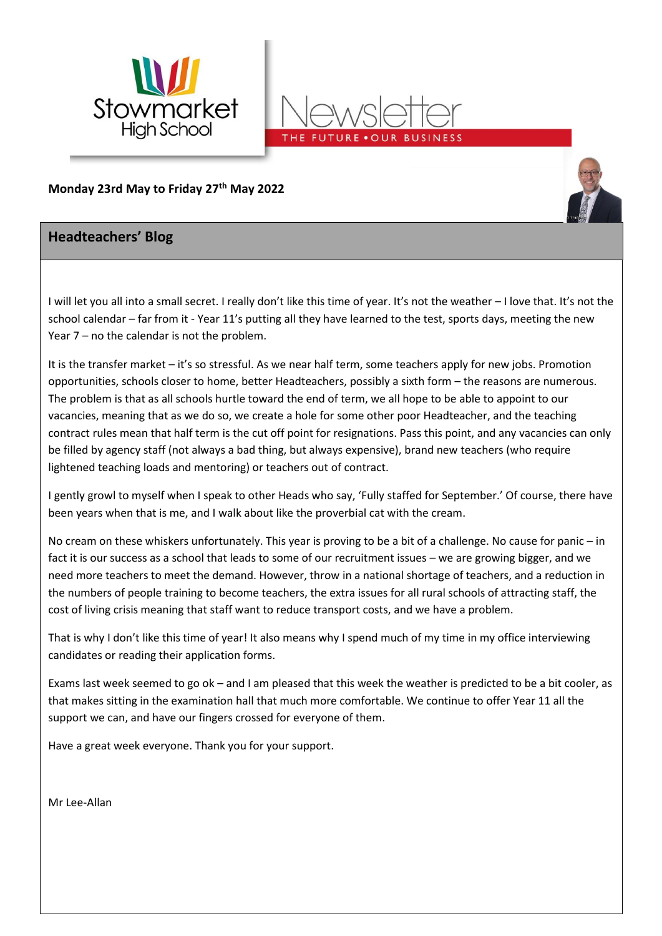



**Monday 23rd May to Friday 27 th May 2022**

## **Headteachers' Blog**

I will let you all into a small secret. I really don't like this time of year. It's not the weather – I love that. It's not the school calendar – far from it - Year 11's putting all they have learned to the test, sports days, meeting the new Year 7 – no the calendar is not the problem.

It is the transfer market – it's so stressful. As we near half term, some teachers apply for new jobs. Promotion opportunities, schools closer to home, better Headteachers, possibly a sixth form – the reasons are numerous. The problem is that as all schools hurtle toward the end of term, we all hope to be able to appoint to our vacancies, meaning that as we do so, we create a hole for some other poor Headteacher, and the teaching contract rules mean that half term is the cut off point for resignations. Pass this point, and any vacancies can only be filled by agency staff (not always a bad thing, but always expensive), brand new teachers (who require lightened teaching loads and mentoring) or teachers out of contract.

I gently growl to myself when I speak to other Heads who say, 'Fully staffed for September.' Of course, there have been years when that is me, and I walk about like the proverbial cat with the cream.

No cream on these whiskers unfortunately. This year is proving to be a bit of a challenge. No cause for panic – in fact it is our success as a school that leads to some of our recruitment issues – we are growing bigger, and we need more teachers to meet the demand. However, throw in a national shortage of teachers, and a reduction in the numbers of people training to become teachers, the extra issues for all rural schools of attracting staff, the cost of living crisis meaning that staff want to reduce transport costs, and we have a problem.

That is why I don't like this time of year! It also means why I spend much of my time in my office interviewing candidates or reading their application forms.

Exams last week seemed to go ok – and I am pleased that this week the weather is predicted to be a bit cooler, as that makes sitting in the examination hall that much more comfortable. We continue to offer Year 11 all the support we can, and have our fingers crossed for everyone of them.

Have a great week everyone. Thank you for your support.

Mr Lee-Allan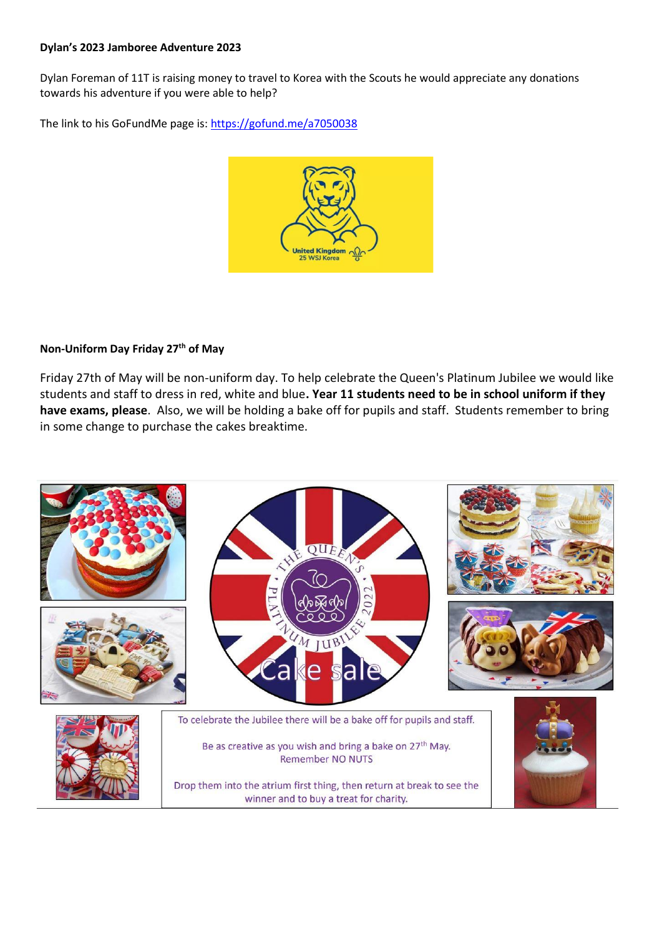#### **Dylan's 2023 Jamboree Adventure 2023**

Dylan Foreman of 11T is raising money to travel to Korea with the Scouts he would appreciate any donations towards his adventure if you were able to help?

The link to his GoFundMe page is[: https://gofund.me/a7050038](https://gofund.me/a7050038)



### **Non-Uniform Day Friday 27th of May**

Friday 27th of May will be non-uniform day. To help celebrate the Queen's Platinum Jubilee we would like students and staff to dress in red, white and blue**. Year 11 students need to be in school uniform if they have exams, please**. Also, we will be holding a bake off for pupils and staff. Students remember to bring in some change to purchase the cakes breaktime.

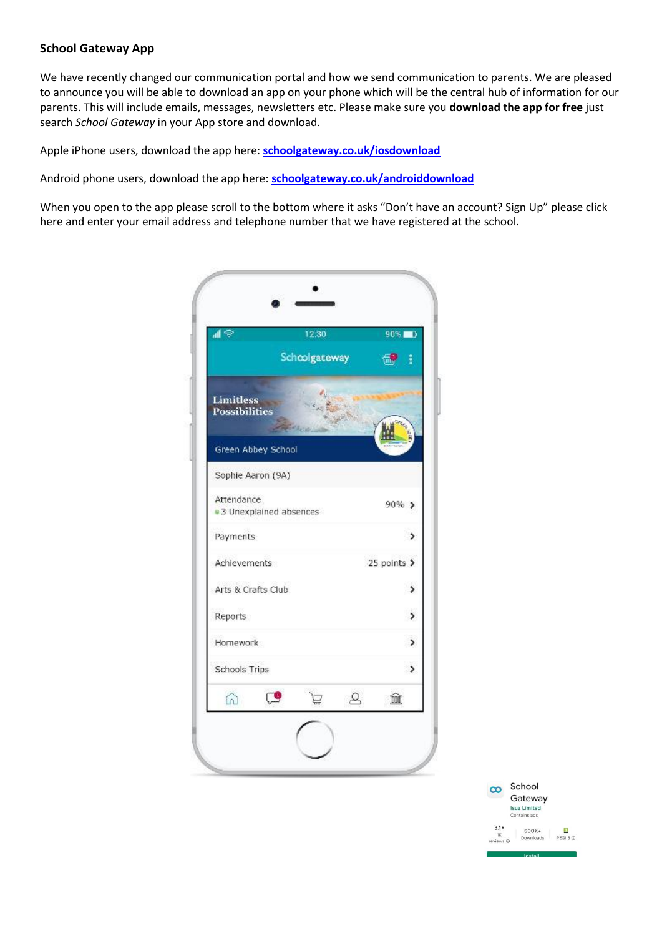#### **School Gateway App**

We have recently changed our communication portal and how we send communication to parents. We are pleased to announce you will be able to download an app on your phone which will be the central hub of information for our parents. This will include emails, messages, newsletters etc. Please make sure you **download the app for free** just search *School Gateway*in your App store and download.

Apple iPhone users, download the app here: **[schoolgateway.co.uk/iosdownload](http://schoolgateway.co.uk/iosdownload)**

Android phone users, download the app here: **[schoolgateway.co.uk/androiddownload](http://schoolgateway.co.uk/androiddownload)**

When you open to the app please scroll to the bottom where it asks "Don't have an account? Sign Up" please click here and enter your email address and telephone number that we have registered at the school.



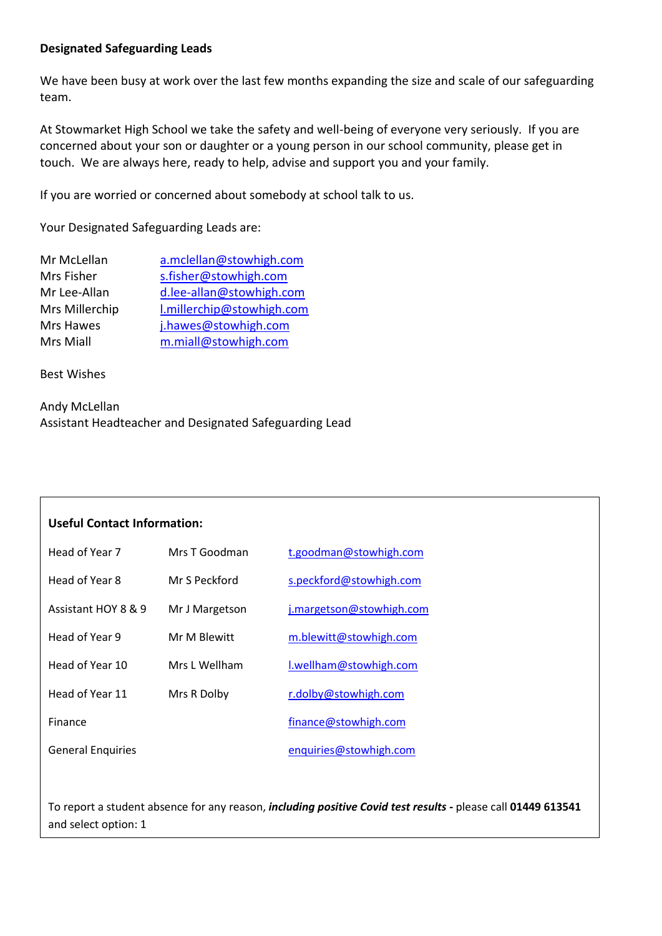### **Designated Safeguarding Leads**

We have been busy at work over the last few months expanding the size and scale of our safeguarding team.

At Stowmarket High School we take the safety and well-being of everyone very seriously. If you are concerned about your son or daughter or a young person in our school community, please get in touch. We are always here, ready to help, advise and support you and your family.

If you are worried or concerned about somebody at school talk to us.

Your Designated Safeguarding Leads are:

| Mr McLellan    | a.mclellan@stowhigh.com   |
|----------------|---------------------------|
| Mrs Fisher     | s.fisher@stowhigh.com     |
| Mr Lee-Allan   | d.lee-allan@stowhigh.com  |
| Mrs Millerchip | l.millerchip@stowhigh.com |
| Mrs Hawes      | j.hawes@stowhigh.com      |
| Mrs Miall      | m.miall@stowhigh.com      |

Best Wishes

| Andy McLellan                                          |
|--------------------------------------------------------|
| Assistant Headteacher and Designated Safeguarding Lead |

| <b>Useful Contact Information:</b> |                |                          |
|------------------------------------|----------------|--------------------------|
| Head of Year 7                     | Mrs T Goodman  | t.goodman@stowhigh.com   |
| Head of Year 8                     | Mr S Peckford  | s.peckford@stowhigh.com  |
| Assistant HOY 8 & 9                | Mr J Margetson | j.margetson@stowhigh.com |
| Head of Year 9                     | Mr M Blewitt   | m.blewitt@stowhigh.com   |
| Head of Year 10                    | Mrs L Wellham  | I.wellham@stowhigh.com   |
| Head of Year 11                    | Mrs R Dolby    | r.dolby@stowhigh.com     |
| Finance                            |                | finance@stowhigh.com     |
| <b>General Enquiries</b>           |                | enquiries@stowhigh.com   |
|                                    |                |                          |

To report a student absence for any reason, *including positive Covid test results* **-** please call **01449 613541** and select option: 1